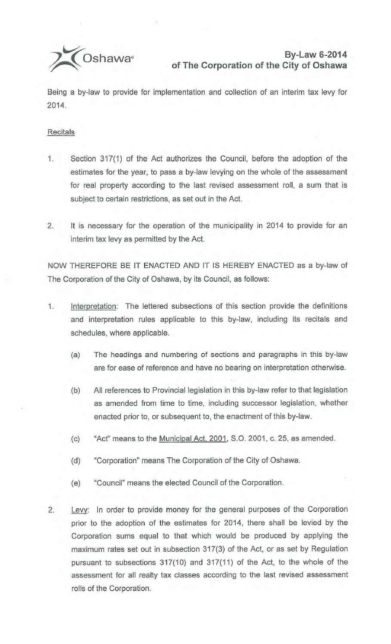

Being a by-law to provide for implementation and collection of an interim tax levy for 2014.

## **Recitals**

- 1. Section 317(1) of the Act authorizes the Council, before the adoption of the estimates for the year, to pass a by-law levying on the whole of the assessment for real property according to the last revised assessment roll, a sum that is subject to certain restrictions, as set out in the Act.
- 2. It is necessary for the operation of the municipality in 2014 to provide for an interim tax levy as permitted by the Act.

NOW THEREFORE BE IT ENACTED AND IT IS HEREBY ENACTED as a by-law of The Corporation of the City of Oshawa, by its Council, as follows:

- 1. Interpretation: The lettered subsections of this section provide the definitions and interpretation rules applicable to this by-law, including its recitals and schedules, where applicable.
	- (a) The headings and numbering of sections and paragraphs in this by-law are for ease of reference and have no bearing on interpretation otherwise.
	- (b) All references to Provincial legislation in this by-law refer to that legislation as amended from time to time, including successor legislation, whether enacted prior to, or subsequent to, the enactment of this by-law.
	- (c) "Act" means to the Municipal Act, 2001, S.O. 2001, c. 25, as amended.
	- (d) "Corporation" means The Corporation of the City of Oshawa.
	- (e) "Council" means the elected Council of the Corporation.
- 2. Levy: In order to provide money for the general purposes of the Corporation prior to the adoption of the estimates for 2014, there shall be levied by the Corporation sums equal to that which would be produced by applying the maximum rates set out in subsection 317(3) of the Act, or as set by Regulation pursuant to subsections 317(10) and 317(11) of the Act, to the whole of the assessment for all realty tax classes according to the last revised assessment rolls of the Corporation.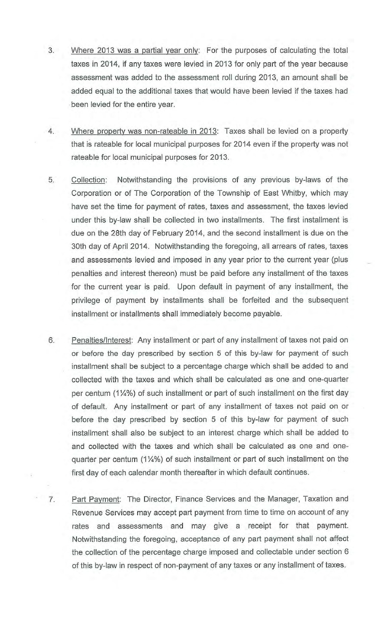- 3. Where 2013 was a partial year only: For the purposes of calculating the total taxes in 2014, if any taxes were levied in 2013 for only part of the year because assessment was added to the assessment roll during 2013, an amount shall be added equal to the additional taxes that would have been levied if the taxes had been levied for the entire year.
- 4. Where property was non-rateable in 2013: Taxes shall be levied on a property that is rateable for local municipal purposes for 2014 even if the property was not rateable for local municipal purposes for 2013.
- 5. Collection: Notwithstanding the provisions of any previous by-laws of the Corporation or of The Corporation of the Township of East Whitby, which may have set the time for payment of rates, taxes and assessment, the taxes levied under this by-law shall be collected in two installments. The first installment is due on the 28th day of February 2014, and the second installment is due on the 30th day of April 2014. Notwithstanding the foregoing, all arrears of rates, taxes and assessments levied and imposed in any year prior to the current year (plus penalties and interest thereon) must be paid before any installment of the taxes for the current year is paid. Upon default in payment of any installment, the privilege of payment by installments shall be forfeited and the subsequent installment or installments shall immediately become payable.
- 6. Penalties/Interest: Any installment or part of any installment of taxes not paid on or before the day prescribed by section 5 of this by-law for payment of such installment shall be subject to a percentage charge which shall be added to and collected with the taxes and which shall be calculated as one and one-quarter per centum  $(1\frac{1}{4}\%)$  of such installment or part of such installment on the first day of default. Any installment or part of any installment of taxes not paid on or before the day prescribed by section 5 of this by-law for payment of such installment shall also be subject to an interest charge which shall be added to and collected with the taxes and which shall be calculated as one and onequarter per centum  $(1\frac{1}{4}\%)$  of such installment or part of such installment on the first day of each calendar month thereafter in which default continues.
- 7. Part Payment: The Director, Finance Services and the Manager, Taxation and Revenue Services may accept part payment from time to time on account of any rates and assessments and may give a receipt for that payment. Notwithstanding the foregoing, acceptance of any part payment shall not affect the collection of the percentage charge imposed and collectable under section 6 of this by-law in respect of non-payment of any taxes or any installment of taxes.